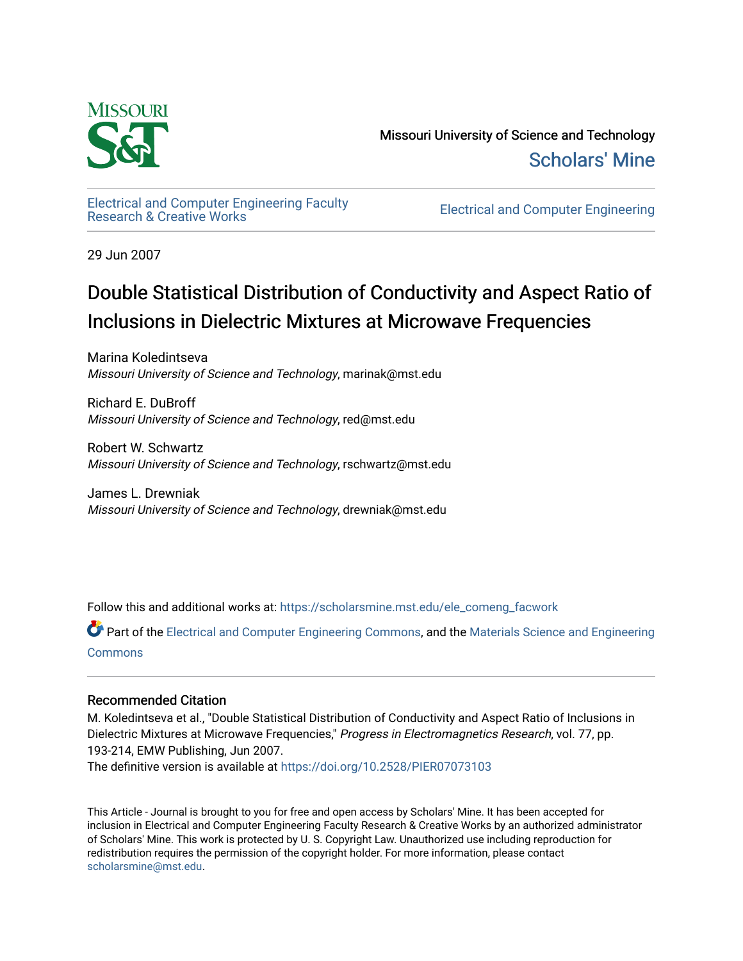

Missouri University of Science and Technology [Scholars' Mine](https://scholarsmine.mst.edu/) 

[Electrical and Computer Engineering Faculty](https://scholarsmine.mst.edu/ele_comeng_facwork)

**Electrical and Computer Engineering** 

29 Jun 2007

# Double Statistical Distribution of Conductivity and Aspect Ratio of Inclusions in Dielectric Mixtures at Microwave Frequencies

Marina Koledintseva Missouri University of Science and Technology, marinak@mst.edu

Richard E. DuBroff Missouri University of Science and Technology, red@mst.edu

Robert W. Schwartz Missouri University of Science and Technology, rschwartz@mst.edu

James L. Drewniak Missouri University of Science and Technology, drewniak@mst.edu

Follow this and additional works at: [https://scholarsmine.mst.edu/ele\\_comeng\\_facwork](https://scholarsmine.mst.edu/ele_comeng_facwork?utm_source=scholarsmine.mst.edu%2Fele_comeng_facwork%2F220&utm_medium=PDF&utm_campaign=PDFCoverPages)

Part of the [Electrical and Computer Engineering Commons](http://network.bepress.com/hgg/discipline/266?utm_source=scholarsmine.mst.edu%2Fele_comeng_facwork%2F220&utm_medium=PDF&utm_campaign=PDFCoverPages), and the Materials Science and Engineering **[Commons](http://network.bepress.com/hgg/discipline/285?utm_source=scholarsmine.mst.edu%2Fele_comeng_facwork%2F220&utm_medium=PDF&utm_campaign=PDFCoverPages)** 

# Recommended Citation

M. Koledintseva et al., "Double Statistical Distribution of Conductivity and Aspect Ratio of Inclusions in Dielectric Mixtures at Microwave Frequencies," Progress in Electromagnetics Research, vol. 77, pp. 193-214, EMW Publishing, Jun 2007.

The definitive version is available at <https://doi.org/10.2528/PIER07073103>

This Article - Journal is brought to you for free and open access by Scholars' Mine. It has been accepted for inclusion in Electrical and Computer Engineering Faculty Research & Creative Works by an authorized administrator of Scholars' Mine. This work is protected by U. S. Copyright Law. Unauthorized use including reproduction for redistribution requires the permission of the copyright holder. For more information, please contact [scholarsmine@mst.edu.](mailto:scholarsmine@mst.edu)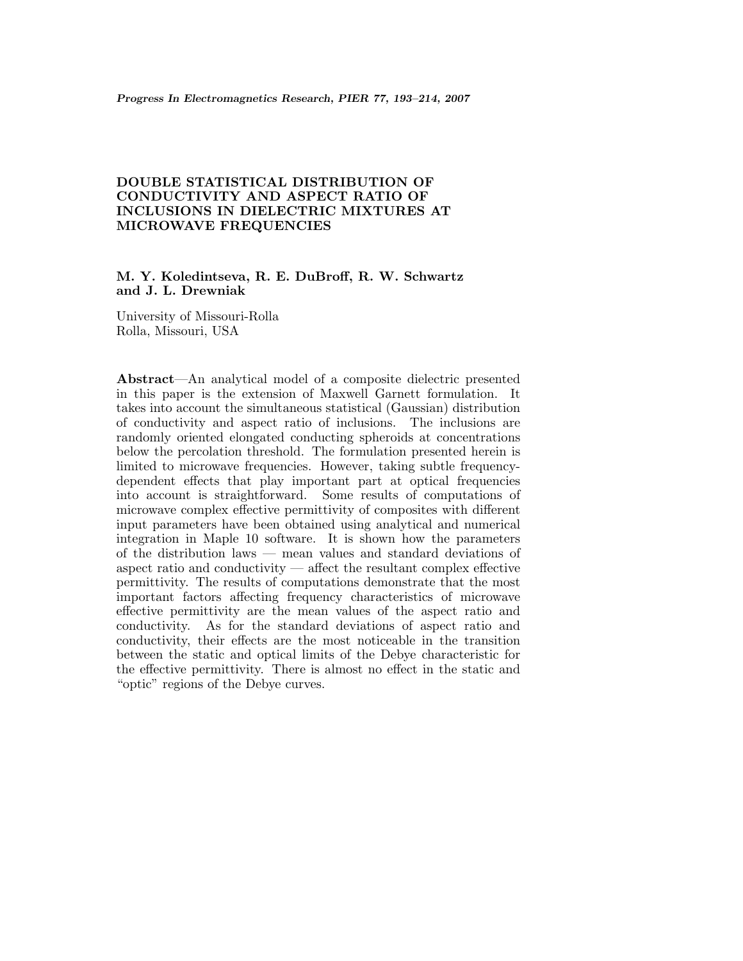# **DOUBLE STATISTICAL DISTRIBUTION OF CONDUCTIVITY AND ASPECT RATIO OF INCLUSIONS IN DIELECTRIC MIXTURES AT MICROWAVE FREQUENCIES**

# **M. Y. Koledintseva, R. E. DuBroff, R. W. Schwartz and J. L. Drewniak**

University of Missouri-Rolla Rolla, Missouri, USA

**Abstract**—An analytical model of a composite dielectric presented in this paper is the extension of Maxwell Garnett formulation. It takes into account the simultaneous statistical (Gaussian) distribution of conductivity and aspect ratio of inclusions. The inclusions are randomly oriented elongated conducting spheroids at concentrations below the percolation threshold. The formulation presented herein is limited to microwave frequencies. However, taking subtle frequencydependent effects that play important part at optical frequencies into account is straightforward. Some results of computations of microwave complex effective permittivity of composites with different input parameters have been obtained using analytical and numerical integration in Maple 10 software. It is shown how the parameters of the distribution laws — mean values and standard deviations of aspect ratio and conductivity — affect the resultant complex effective permittivity. The results of computations demonstrate that the most important factors affecting frequency characteristics of microwave effective permittivity are the mean values of the aspect ratio and conductivity. As for the standard deviations of aspect ratio and conductivity, their effects are the most noticeable in the transition between the static and optical limits of the Debye characteristic for the effective permittivity. There is almost no effect in the static and "optic" regions of the Debye curves.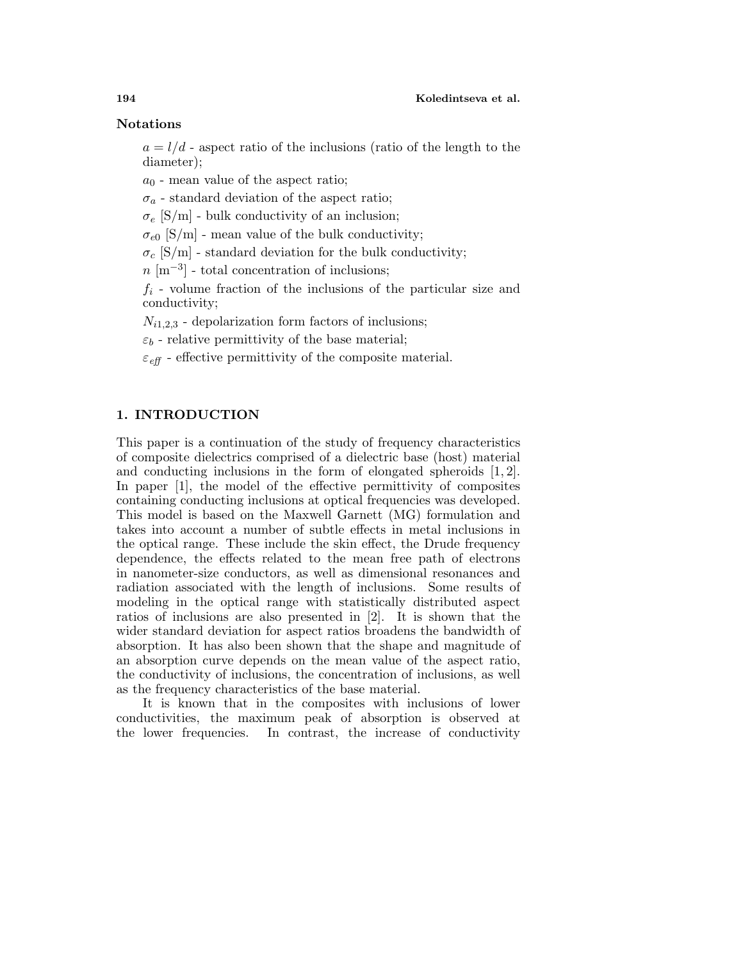#### **Notations**

 $a = l/d$  - aspect ratio of the inclusions (ratio of the length to the diameter);

 $a_0$  - mean value of the aspect ratio;

 $\sigma_a$  - standard deviation of the aspect ratio;

 $\sigma_e$  [S/m] - bulk conductivity of an inclusion;

 $\sigma_{e0}$  [S/m] - mean value of the bulk conductivity;

 $\sigma_c$  [S/m] - standard deviation for the bulk conductivity;

 $n \, [\text{m}^{-3}]$  - total concentration of inclusions;

 $f_i$  - volume fraction of the inclusions of the particular size and conductivity;

 $N_{i1,2,3}$  - depolarization form factors of inclusions;

 $\varepsilon_b$  - relative permittivity of the base material;

 $\varepsilon_{\text{eff}}$  - effective permittivity of the composite material.

## **1. INTRODUCTION**

This paper is a continuation of the study of frequency characteristics of composite dielectrics comprised of a dielectric base (host) material and conducting inclusions in the form of elongated spheroids [1, 2]. In paper [1], the model of the effective permittivity of composites containing conducting inclusions at optical frequencies was developed. This model is based on the Maxwell Garnett (MG) formulation and takes into account a number of subtle effects in metal inclusions in the optical range. These include the skin effect, the Drude frequency dependence, the effects related to the mean free path of electrons in nanometer-size conductors, as well as dimensional resonances and radiation associated with the length of inclusions. Some results of modeling in the optical range with statistically distributed aspect ratios of inclusions are also presented in [2]. It is shown that the wider standard deviation for aspect ratios broadens the bandwidth of absorption. It has also been shown that the shape and magnitude of an absorption curve depends on the mean value of the aspect ratio, the conductivity of inclusions, the concentration of inclusions, as well as the frequency characteristics of the base material.

It is known that in the composites with inclusions of lower conductivities, the maximum peak of absorption is observed at the lower frequencies. In contrast, the increase of conductivity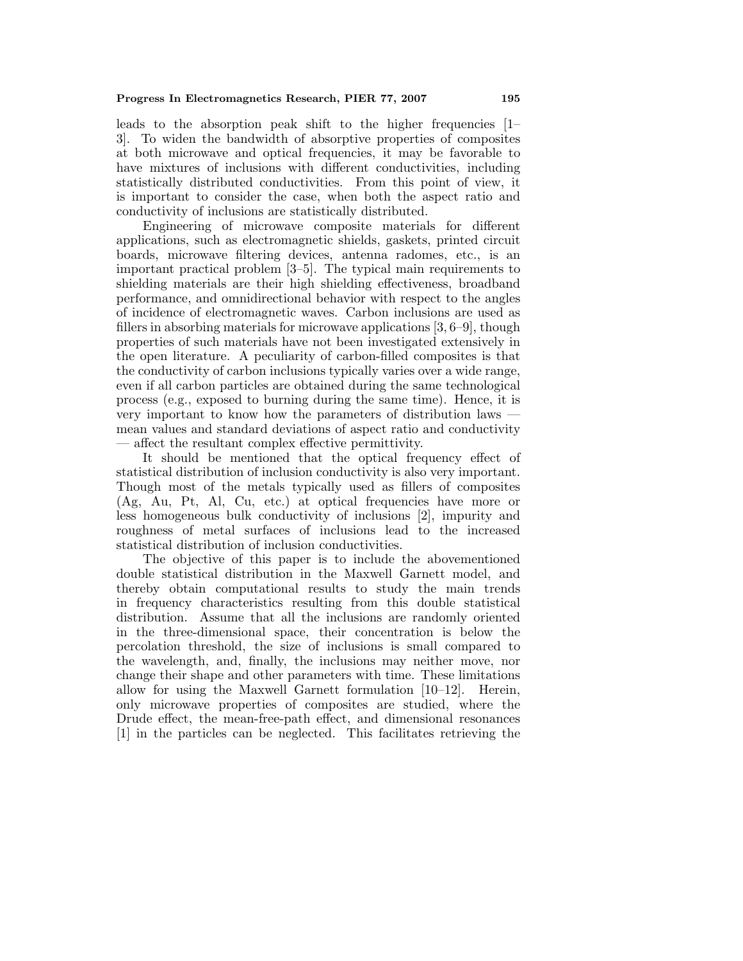leads to the absorption peak shift to the higher frequencies  $[1-\]$ 3]. To widen the bandwidth of absorptive properties of composites at both microwave and optical frequencies, it may be favorable to have mixtures of inclusions with different conductivities, including statistically distributed conductivities. From this point of view, it is important to consider the case, when both the aspect ratio and conductivity of inclusions are statistically distributed.

Engineering of microwave composite materials for different applications, such as electromagnetic shields, gaskets, printed circuit boards, microwave filtering devices, antenna radomes, etc., is an important practical problem [3–5]. The typical main requirements to shielding materials are their high shielding effectiveness, broadband performance, and omnidirectional behavior with respect to the angles of incidence of electromagnetic waves. Carbon inclusions are used as fillers in absorbing materials for microwave applications [3, 6–9], though properties of such materials have not been investigated extensively in the open literature. A peculiarity of carbon-filled composites is that the conductivity of carbon inclusions typically varies over a wide range, even if all carbon particles are obtained during the same technological process (e.g., exposed to burning during the same time). Hence, it is very important to know how the parameters of distribution laws mean values and standard deviations of aspect ratio and conductivity — affect the resultant complex effective permittivity.

It should be mentioned that the optical frequency effect of statistical distribution of inclusion conductivity is also very important. Though most of the metals typically used as fillers of composites (Ag, Au, Pt, Al, Cu, etc.) at optical frequencies have more or less homogeneous bulk conductivity of inclusions [2], impurity and roughness of metal surfaces of inclusions lead to the increased statistical distribution of inclusion conductivities.

The objective of this paper is to include the abovementioned double statistical distribution in the Maxwell Garnett model, and thereby obtain computational results to study the main trends in frequency characteristics resulting from this double statistical distribution. Assume that all the inclusions are randomly oriented in the three-dimensional space, their concentration is below the percolation threshold, the size of inclusions is small compared to the wavelength, and, finally, the inclusions may neither move, nor change their shape and other parameters with time. These limitations allow for using the Maxwell Garnett formulation [10–12]. Herein, only microwave properties of composites are studied, where the Drude effect, the mean-free-path effect, and dimensional resonances [1] in the particles can be neglected. This facilitates retrieving the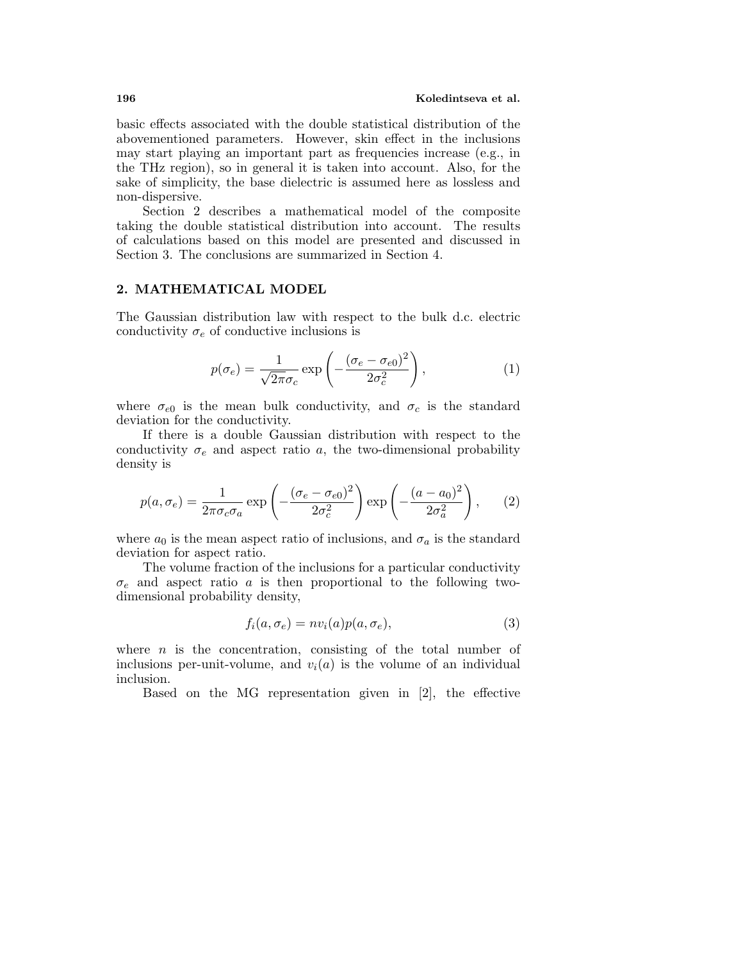basic effects associated with the double statistical distribution of the abovementioned parameters. However, skin effect in the inclusions may start playing an important part as frequencies increase (e.g., in the THz region), so in general it is taken into account. Also, for the sake of simplicity, the base dielectric is assumed here as lossless and non-dispersive.

Section 2 describes a mathematical model of the composite taking the double statistical distribution into account. The results of calculations based on this model are presented and discussed in Section 3. The conclusions are summarized in Section 4.

### **2. MATHEMATICAL MODEL**

The Gaussian distribution law with respect to the bulk d.c. electric conductivity  $\sigma_e$  of conductive inclusions is

$$
p(\sigma_e) = \frac{1}{\sqrt{2\pi}\sigma_c} \exp\left(-\frac{(\sigma_e - \sigma_{e0})^2}{2\sigma_c^2}\right),\tag{1}
$$

where  $\sigma_{e0}$  is the mean bulk conductivity, and  $\sigma_c$  is the standard deviation for the conductivity.

If there is a double Gaussian distribution with respect to the conductivity  $\sigma_e$  and aspect ratio a, the two-dimensional probability density is

$$
p(a, \sigma_e) = \frac{1}{2\pi\sigma_c\sigma_a} \exp\left(-\frac{(\sigma_e - \sigma_{e0})^2}{2\sigma_c^2}\right) \exp\left(-\frac{(a - a_0)^2}{2\sigma_a^2}\right),\tag{2}
$$

where  $a_0$  is the mean aspect ratio of inclusions, and  $\sigma_a$  is the standard deviation for aspect ratio.

The volume fraction of the inclusions for a particular conductivity  $\sigma_e$  and aspect ratio a is then proportional to the following twodimensional probability density,

$$
f_i(a, \sigma_e) = nv_i(a)p(a, \sigma_e), \qquad (3)
$$

where  $n$  is the concentration, consisting of the total number of inclusions per-unit-volume, and  $v_i(a)$  is the volume of an individual inclusion.

Based on the MG representation given in [2], the effective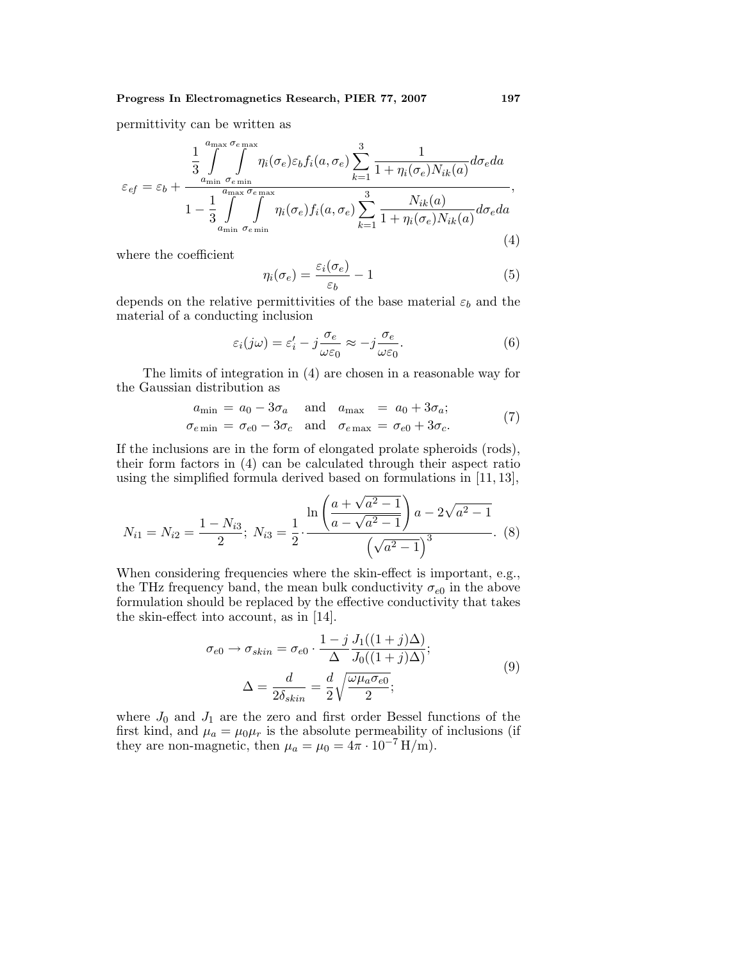permittivity can be written as

$$
\varepsilon_{ef} = \varepsilon_b + \frac{\frac{1}{3} \int_{a_{\min}}^{a_{\max}} \int_{\sigma_{e_{\min}}}^{\sigma_{e_{\min}}} \eta_i(\sigma_e) \varepsilon_b f_i(a, \sigma_e) \sum_{k=1}^3 \frac{1}{1 + \eta_i(\sigma_e) N_{ik}(a)} d\sigma_e da}{1 - \frac{1}{3} \int_{a_{\min}}^{a_{\max}} \int_{\sigma_{e_{\min}}}^{\sigma_{e_{\max}}} \eta_i(\sigma_e) f_i(a, \sigma_e) \sum_{k=1}^3 \frac{N_{ik}(a)}{1 + \eta_i(\sigma_e) N_{ik}(a)} d\sigma_e da},
$$
\n(4)

where the coefficient

$$
\eta_i(\sigma_e) = \frac{\varepsilon_i(\sigma_e)}{\varepsilon_b} - 1\tag{5}
$$

depends on the relative permittivities of the base material  $\varepsilon_b$  and the material of a conducting inclusion

$$
\varepsilon_i(j\omega) = \varepsilon_i' - j\frac{\sigma_e}{\omega \varepsilon_0} \approx -j\frac{\sigma_e}{\omega \varepsilon_0}.\tag{6}
$$

The limits of integration in (4) are chosen in a reasonable way for the Gaussian distribution as

$$
a_{\min} = a_0 - 3\sigma_a \quad \text{and} \quad a_{\max} = a_0 + 3\sigma_a; \sigma_{e \min} = \sigma_{e0} - 3\sigma_c \quad \text{and} \quad \sigma_{e \max} = \sigma_{e0} + 3\sigma_c.
$$
\n(7)

If the inclusions are in the form of elongated prolate spheroids (rods), their form factors in (4) can be calculated through their aspect ratio using the simplified formula derived based on formulations in  $[11, 13]$ ,

$$
N_{i1} = N_{i2} = \frac{1 - N_{i3}}{2}; \ N_{i3} = \frac{1}{2} \cdot \frac{\ln\left(\frac{a + \sqrt{a^2 - 1}}{a - \sqrt{a^2 - 1}}\right)a - 2\sqrt{a^2 - 1}}{\left(\sqrt{a^2 - 1}\right)^3}.
$$
 (8)

When considering frequencies where the skin-effect is important, e.g., the THz frequency band, the mean bulk conductivity  $\sigma_{e0}$  in the above formulation should be replaced by the effective conductivity that takes the skin-effect into account, as in [14].

$$
\sigma_{e0} \to \sigma_{skin} = \sigma_{e0} \cdot \frac{1 - j}{\Delta} \frac{J_1((1 + j)\Delta)}{J_0((1 + j)\Delta)};
$$
  

$$
\Delta = \frac{d}{2\delta_{skin}} = \frac{d}{2} \sqrt{\frac{\omega \mu_a \sigma_{e0}}{2}};
$$
 (9)

where  $J_0$  and  $J_1$  are the zero and first order Bessel functions of the first kind, and  $\mu_a = \mu_0 \mu_r$  is the absolute permeability of inclusions (if they are non-magnetic, then  $\mu_a = \mu_0 = 4\pi \cdot 10^{-7} \,\text{H/m}$ .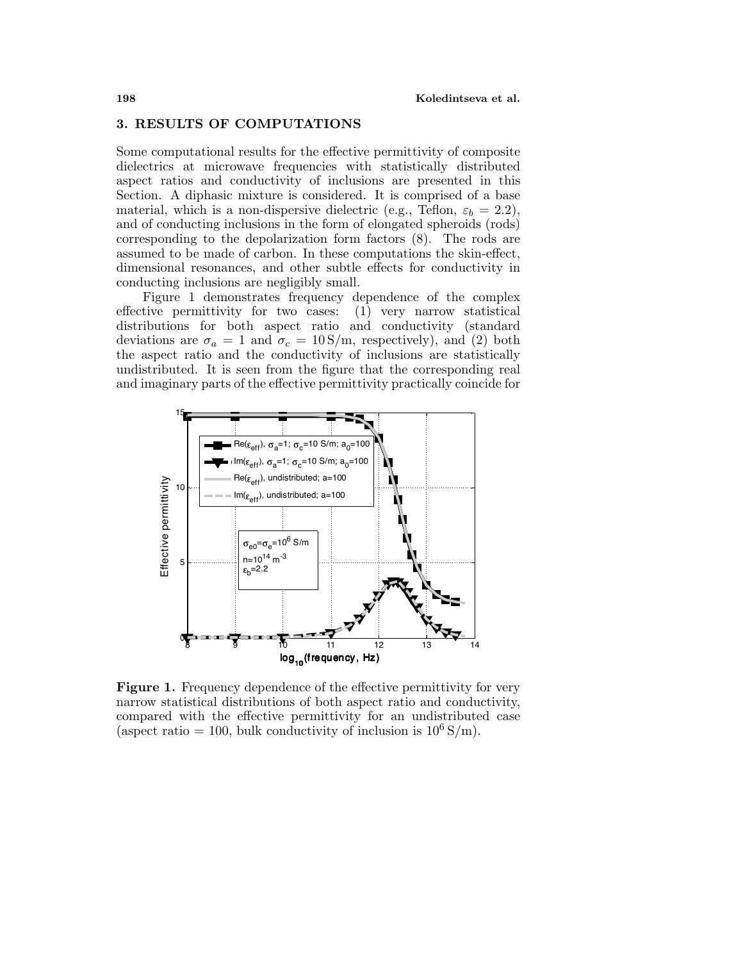#### **3. RESULTS OF COMPUTATIONS**

Some computational results for the effective permittivity of composite dielectrics at microwave frequencies with statistically distributed aspect ratios and conductivity of inclusions are presented in this Section. A diphasic mixture is considered. It is comprised of a base material, which is a non-dispersive dielectric (e.g., Teflon,  $\varepsilon_b = 2.2$ ), and of conducting inclusions in the form of elongated spheroids (rods) corresponding to the depolarization form factors (8). The rods are assumed to be made of carbon. In these computations the skin-effect, dimensional resonances, and other subtle effects for conductivity in conducting inclusions are negligibly small.

Figure 1 demonstrates frequency dependence of the complex effective permittivity for two cases: (1) very narrow statistical distributions for both aspect ratio and conductivity (standard deviations are  $\sigma_a = 1$  and  $\sigma_c = 10 \text{ S/m}$ , respectively), and (2) both the aspect ratio and the conductivity of inclusions are statistically undistributed. It is seen from the figure that the corresponding real and imaginary parts of the effective permittivity practically coincide for



Figure 1. Frequency dependence of the effective permittivity for very narrow statistical distributions of both aspect ratio and conductivity, compared with the effective permittivity for an undistributed case (aspect ratio = 100, bulk conductivity of inclusion is  $10^6$  S/m).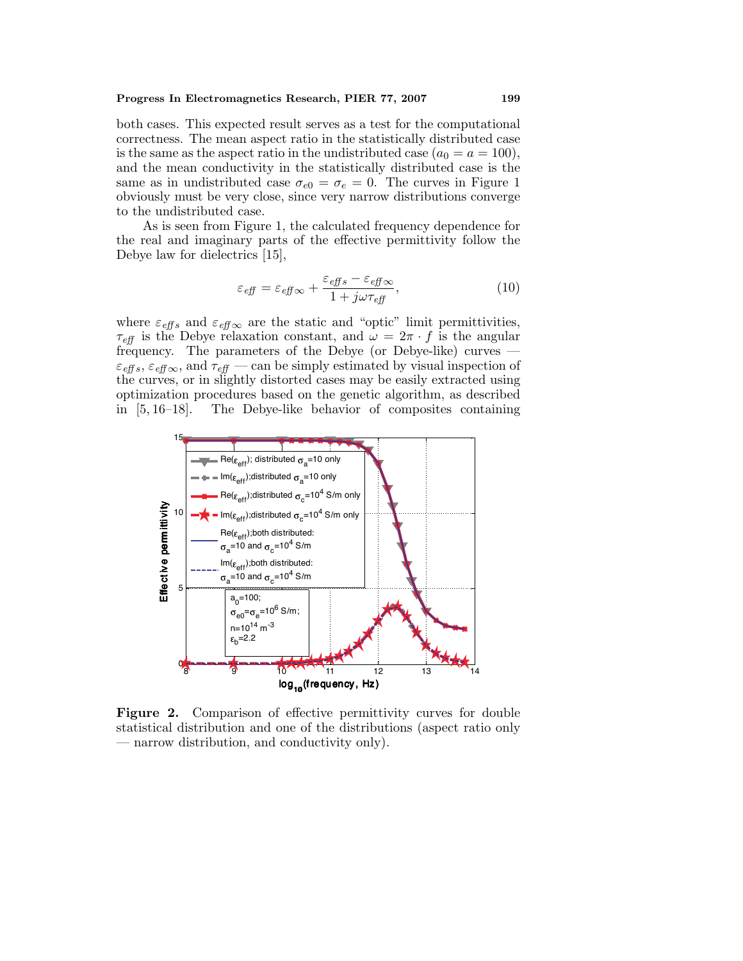#### **Progress In Electromagnetics Research, PIER 77, 2007 199**

both cases. This expected result serves as a test for the computational correctness. The mean aspect ratio in the statistically distributed case is the same as the aspect ratio in the undistributed case  $(a_0 = a = 100)$ , and the mean conductivity in the statistically distributed case is the same as in undistributed case  $\sigma_{e0} = \sigma_e = 0$ . The curves in Figure 1 obviously must be very close, since very narrow distributions converge to the undistributed case.

As is seen from Figure 1, the calculated frequency dependence for the real and imaginary parts of the effective permittivity follow the Debye law for dielectrics [15],

$$
\varepsilon_{\text{eff}} = \varepsilon_{\text{eff}} \infty + \frac{\varepsilon_{\text{eff}} s - \varepsilon_{\text{eff}} \infty}{1 + j\omega \tau_{\text{eff}}},\tag{10}
$$

where  $\varepsilon_{\text{eff}s}$  and  $\varepsilon_{\text{eff}\infty}$  are the static and "optic" limit permittivities,  $\tau_{\text{eff}}$  is the Debye relaxation constant, and  $\omega = 2\pi \cdot f$  is the angular frequency. The parameters of the Debye (or Debye-like) curves —  $\varepsilon_{\text{eff s}}, \varepsilon_{\text{eff }\infty}$ , and  $\tau_{\text{eff}}$  — can be simply estimated by visual inspection of the curves, or in slightly distorted cases may be easily extracted using optimization procedures based on the genetic algorithm, as described in [5, 16–18]. The Debye-like behavior of composites containing



**Figure 2.** Comparison of effective permittivity curves for double statistical distribution and one of the distributions (aspect ratio only — narrow distribution, and conductivity only).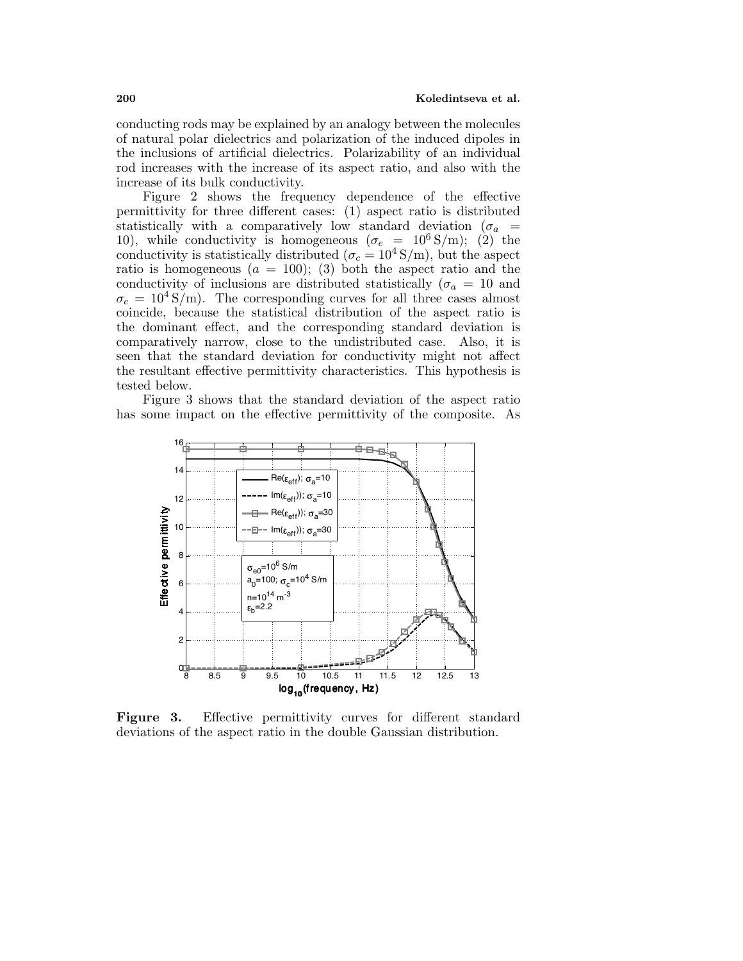conducting rods may be explained by an analogy between the molecules of natural polar dielectrics and polarization of the induced dipoles in the inclusions of artificial dielectrics. Polarizability of an individual rod increases with the increase of its aspect ratio, and also with the increase of its bulk conductivity.

Figure 2 shows the frequency dependence of the effective permittivity for three different cases: (1) aspect ratio is distributed statistically with a comparatively low standard deviation ( $\sigma_a$  = 10), while conductivity is homogeneous ( $\sigma_e = 10^6$  S/m); (2) the conductivity is statistically distributed ( $\sigma_c = 10^4 \text{ S/m}$ ), but the aspect ratio is homogeneous  $(a = 100)$ ; (3) both the aspect ratio and the conductivity of inclusions are distributed statistically ( $\sigma_a = 10$  and  $\sigma_c = 10^4 \text{ S/m}$ . The corresponding curves for all three cases almost coincide, because the statistical distribution of the aspect ratio is the dominant effect, and the corresponding standard deviation is comparatively narrow, close to the undistributed case. Also, it is seen that the standard deviation for conductivity might not affect the resultant effective permittivity characteristics. This hypothesis is tested below.

Figure 3 shows that the standard deviation of the aspect ratio has some impact on the effective permittivity of the composite. As



**Figure 3.** Effective permittivity curves for different standard deviations of the aspect ratio in the double Gaussian distribution.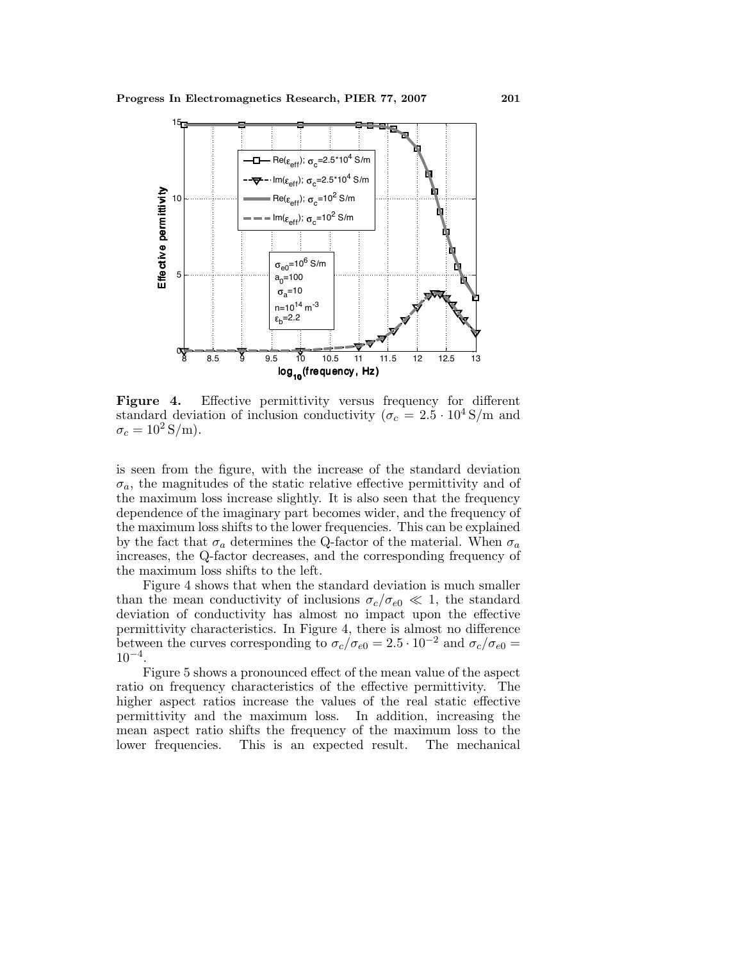

**Figure 4.** Effective permittivity versus frequency for different standard deviation of inclusion conductivity ( $\sigma_c = 2.5 \cdot 10^4$  S/m and  $\sigma_c = 10^2 \,\mathrm{S/m}$ .

is seen from the figure, with the increase of the standard deviation  $\sigma_a$ , the magnitudes of the static relative effective permittivity and of the maximum loss increase slightly. It is also seen that the frequency dependence of the imaginary part becomes wider, and the frequency of the maximum loss shifts to the lower frequencies. This can be explained by the fact that  $\sigma_a$  determines the Q-factor of the material. When  $\sigma_a$ increases, the Q-factor decreases, and the corresponding frequency of the maximum loss shifts to the left.

Figure 4 shows that when the standard deviation is much smaller than the mean conductivity of inclusions  $\sigma_c/\sigma_{e0} \ll 1$ , the standard deviation of conductivity has almost no impact upon the effective permittivity characteristics. In Figure 4, there is almost no difference between the curves corresponding to  $\sigma_c/\sigma_{e0} = 2.5 \cdot 10^{-2}$  and  $\sigma_c/\sigma_{e0} = 1$  $10^{-4}$ .

Figure 5 shows a pronounced effect of the mean value of the aspect ratio on frequency characteristics of the effective permittivity. The higher aspect ratios increase the values of the real static effective permittivity and the maximum loss. In addition, increasing the mean aspect ratio shifts the frequency of the maximum loss to the lower frequencies. This is an expected result. The mechanical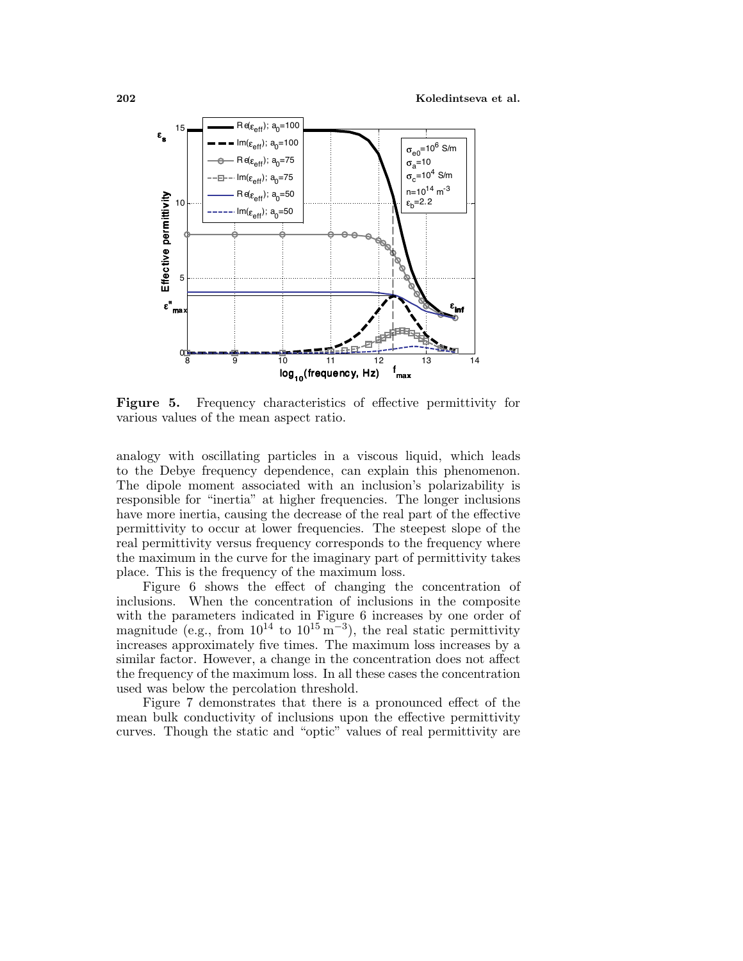**202 Koledintseva et al.**



**Figure 5.** Frequency characteristics of effective permittivity for various values of the mean aspect ratio.

analogy with oscillating particles in a viscous liquid, which leads to the Debye frequency dependence, can explain this phenomenon. The dipole moment associated with an inclusion's polarizability is responsible for "inertia" at higher frequencies. The longer inclusions have more inertia, causing the decrease of the real part of the effective permittivity to occur at lower frequencies. The steepest slope of the real permittivity versus frequency corresponds to the frequency where the maximum in the curve for the imaginary part of permittivity takes place. This is the frequency of the maximum loss.

Figure 6 shows the effect of changing the concentration of inclusions. When the concentration of inclusions in the composite with the parameters indicated in Figure 6 increases by one order of magnitude (e.g., from  $10^{14}$  to  $10^{15} \text{ m}^{-3}$ ), the real static permittivity increases approximately five times. The maximum loss increases by a similar factor. However, a change in the concentration does not affect the frequency of the maximum loss. In all these cases the concentration used was below the percolation threshold.

Figure 7 demonstrates that there is a pronounced effect of the mean bulk conductivity of inclusions upon the effective permittivity curves. Though the static and "optic" values of real permittivity are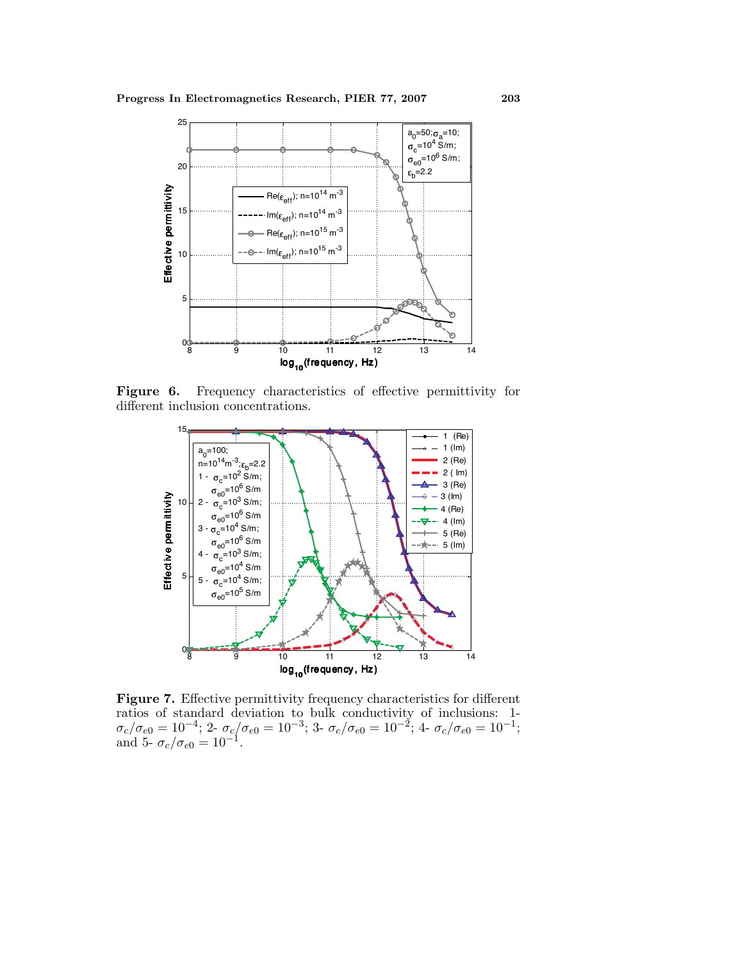

**Figure 6.** Frequency characteristics of effective permittivity for different inclusion concentrations.



**Figure 7.** Effective permittivity frequency characteristics for different ratios of standard deviation to bulk conductivity of inclusions: 1-  $\sigma_c/\sigma_{e0} = 10^{-4};\, 2$ -  $\sigma_c/\sigma_{e0} = 10^{-3};\, 3$ -  $\sigma_c/\sigma_{e0} = 10^{-2};\, 4$ -  $\sigma_c/\sigma_{e0} = 10^{-1};$ and 5-  $\sigma_c/\sigma_{e0} = 10^{-1}$ .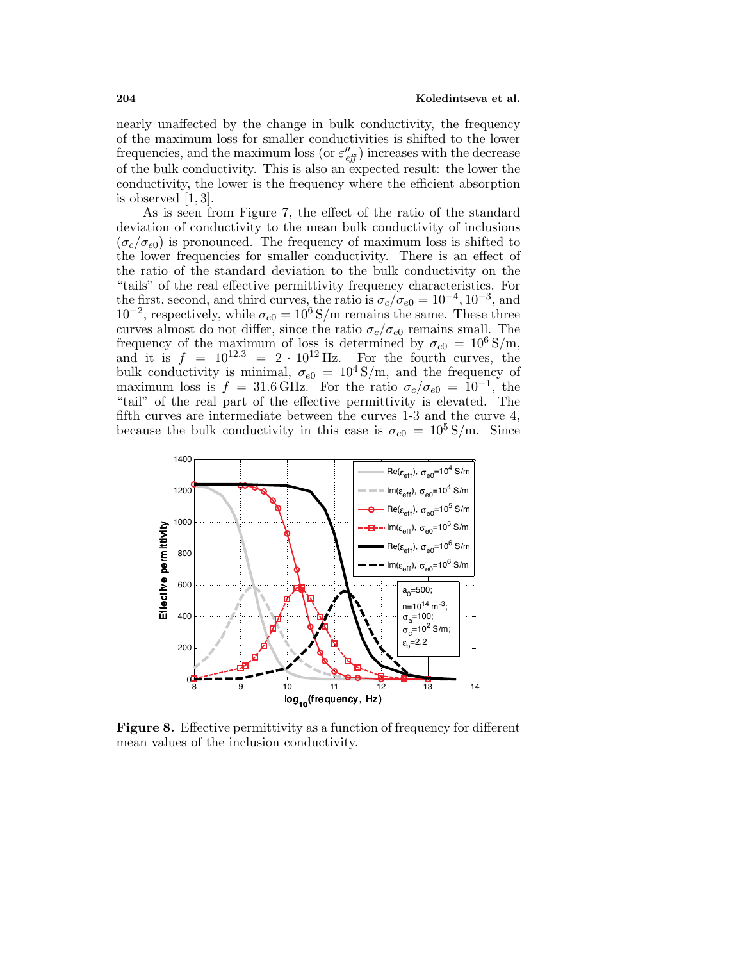nearly unaffected by the change in bulk conductivity, the frequency of the maximum loss for smaller conductivities is shifted to the lower frequencies, and the maximum loss (or  $\varepsilon_{eff}^{\prime\prime}$ ) increases with the decrease of the bulk conductivity. This is also an expected result: the lower the conductivity, the lower is the frequency where the efficient absorption is observed [1, 3].

As is seen from Figure 7, the effect of the ratio of the standard deviation of conductivity to the mean bulk conductivity of inclusions  $(\sigma_c/\sigma_{e0})$  is pronounced. The frequency of maximum loss is shifted to the lower frequencies for smaller conductivity. There is an effect of the ratio of the standard deviation to the bulk conductivity on the "tails" of the real effective permittivity frequency characteristics. For the first, second, and third curves, the ratio is  $\sigma_c/\sigma_{e0} = 10^{-4}$ ,  $10^{-3}$ , and  $10^{-2}$ , respectively, while  $\sigma_{e0} = 10^6$  S/m remains the same. These three curves almost do not differ, since the ratio  $\sigma_c/\sigma_{e0}$  remains small. The frequency of the maximum of loss is determined by  $\sigma_{e0} = 10^6 \text{ S/m}$ , and it is  $f = 10^{12.3} = 2 \cdot 10^{12}$  Hz. For the fourth curves, the bulk conductivity is minimal,  $\sigma_{e0} = 10^4 \text{ S/m}$ , and the frequency of maximum loss is  $f = 31.6 \text{ GHz}$ . For the ratio  $\sigma_c/\sigma_{e0} = 10^{-1}$ , the "tail" of the real part of the effective permittivity is elevated. The fifth curves are intermediate between the curves 1-3 and the curve 4, because the bulk conductivity in this case is  $\sigma_{e0} = 10^5 \,\mathrm{S/m}$ . Since



**Figure 8.** Effective permittivity as a function of frequency for different mean values of the inclusion conductivity.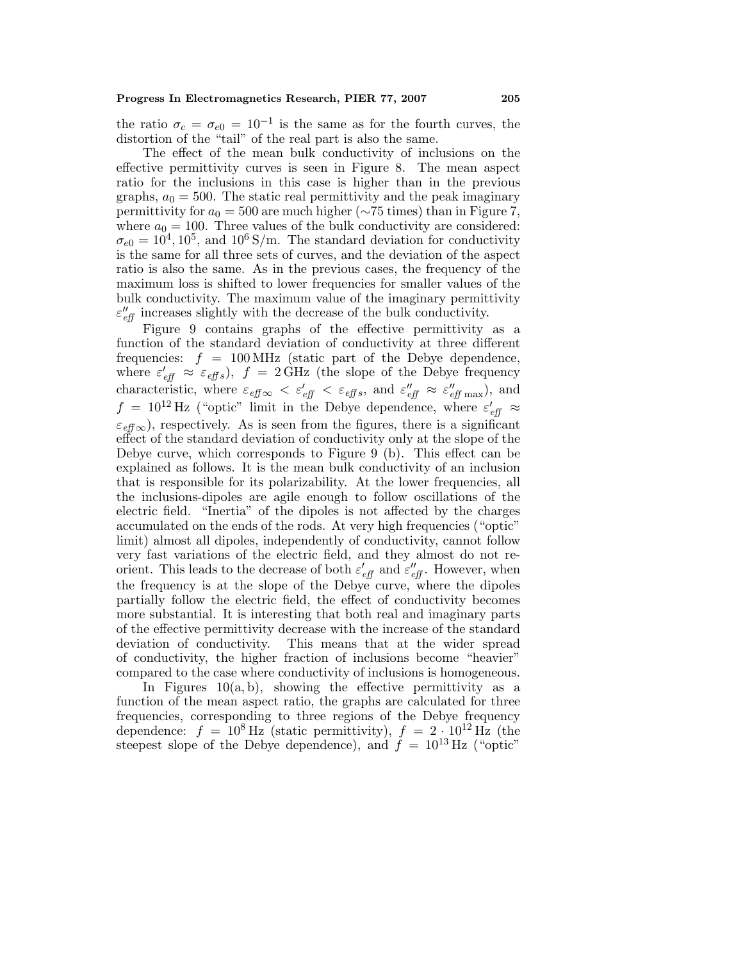the ratio  $\sigma_c = \sigma_{e0} = 10^{-1}$  is the same as for the fourth curves, the distortion of the "tail" of the real part is also the same.

The effect of the mean bulk conductivity of inclusions on the effective permittivity curves is seen in Figure 8. The mean aspect ratio for the inclusions in this case is higher than in the previous graphs,  $a_0 = 500$ . The static real permittivity and the peak imaginary permittivity for  $a_0 = 500$  are much higher (∼75 times) than in Figure 7, where  $a_0 = 100$ . Three values of the bulk conductivity are considered:  $\sigma_{e0} = 10^4, 10^5, \text{ and } 10^6 \text{ S/m}$ . The standard deviation for conductivity is the same for all three sets of curves, and the deviation of the aspect ratio is also the same. As in the previous cases, the frequency of the maximum loss is shifted to lower frequencies for smaller values of the bulk conductivity. The maximum value of the imaginary permittivity  $\varepsilon''_{\text{eff}}$  increases slightly with the decrease of the bulk conductivity.

Figure 9 contains graphs of the effective permittivity as a function of the standard deviation of conductivity at three different frequencies:  $f = 100 \text{ MHz}$  (static part of the Debye dependence, where  $\varepsilon'_{\text{eff}} \approx \varepsilon_{\text{eff}} s$ ),  $f = 2 \text{ GHz}$  (the slope of the Debye frequency characteristic, where  $\varepsilon_{\text{eff}} \propto \varepsilon'_{\text{eff}} \lt \varepsilon_{\text{eff}} s$ , and  $\varepsilon''_{\text{eff}} \approx \varepsilon''_{\text{eff}}$  max), and  $f = 10^{12}$  Hz ("optic" limit in the Debye dependence, where  $\varepsilon'_{\text{eff}} \approx$  $\varepsilon_{\text{eff}}$   $\infty$ ), respectively. As is seen from the figures, there is a significant effect of the standard deviation of conductivity only at the slope of the Debye curve, which corresponds to Figure 9 (b). This effect can be explained as follows. It is the mean bulk conductivity of an inclusion that is responsible for its polarizability. At the lower frequencies, all the inclusions-dipoles are agile enough to follow oscillations of the electric field. "Inertia" of the dipoles is not affected by the charges accumulated on the ends of the rods. At very high frequencies ("optic" limit) almost all dipoles, independently of conductivity, cannot follow very fast variations of the electric field, and they almost do not reorient. This leads to the decrease of both  $\varepsilon'_{\text{eff}}$  and  $\varepsilon''_{\text{eff}}$ . However, when the frequency is at the slope of the Debye curve, where the dipoles partially follow the electric field, the effect of conductivity becomes more substantial. It is interesting that both real and imaginary parts of the effective permittivity decrease with the increase of the standard deviation of conductivity. This means that at the wider spread of conductivity, the higher fraction of inclusions become "heavier" compared to the case where conductivity of inclusions is homogeneous.

In Figures  $10(a, b)$ , showing the effective permittivity as a function of the mean aspect ratio, the graphs are calculated for three frequencies, corresponding to three regions of the Debye frequency dependence:  $f = 10^8 \text{ Hz}$  (static permittivity),  $f = 2 \cdot 10^{12} \text{ Hz}$  (the steepest slope of the Debye dependence), and  $\dot{f} = 10^{13}$  Hz ("optic"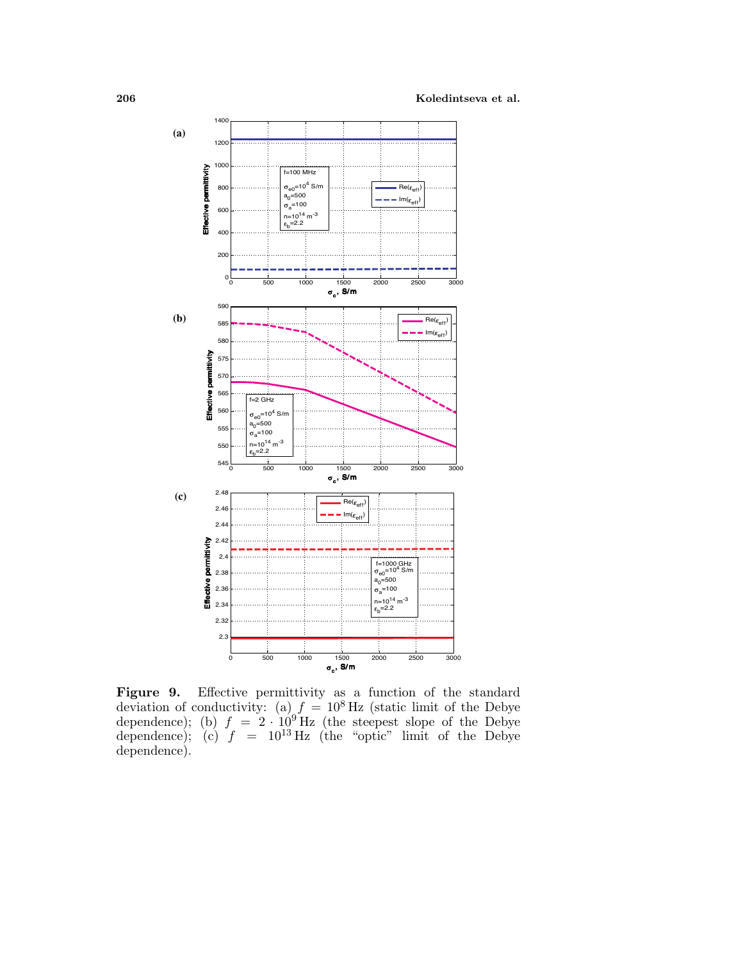**206 Koledintseva et al.**



**Figure 9.** Effective permittivity as a function of the standard deviation of conductivity: (a)  $f = 10^8$  Hz (static limit of the Debye dependence); (b)  $f = 2 \cdot 10^9$  Hz (the steepest slope of the Debye dependence); (c)  $f = 10^{13}$  Hz (the "optic" limit of the Debye dependence).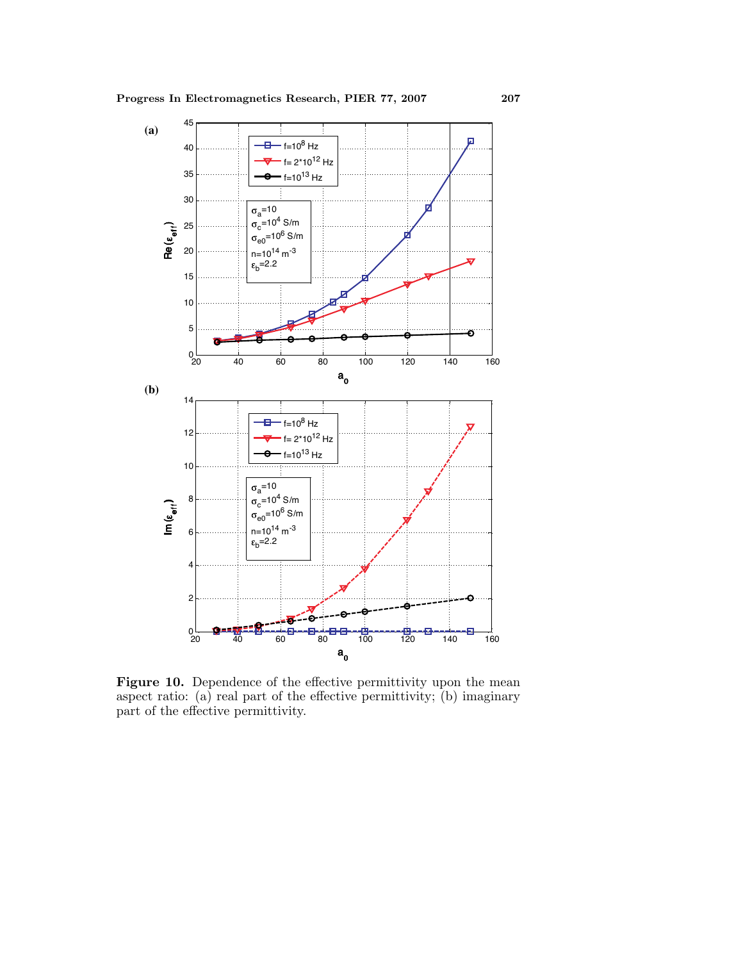

Figure 10. Dependence of the effective permittivity upon the mean aspect ratio: (a) real part of the effective permittivity; (b) imaginary part of the effective permittivity.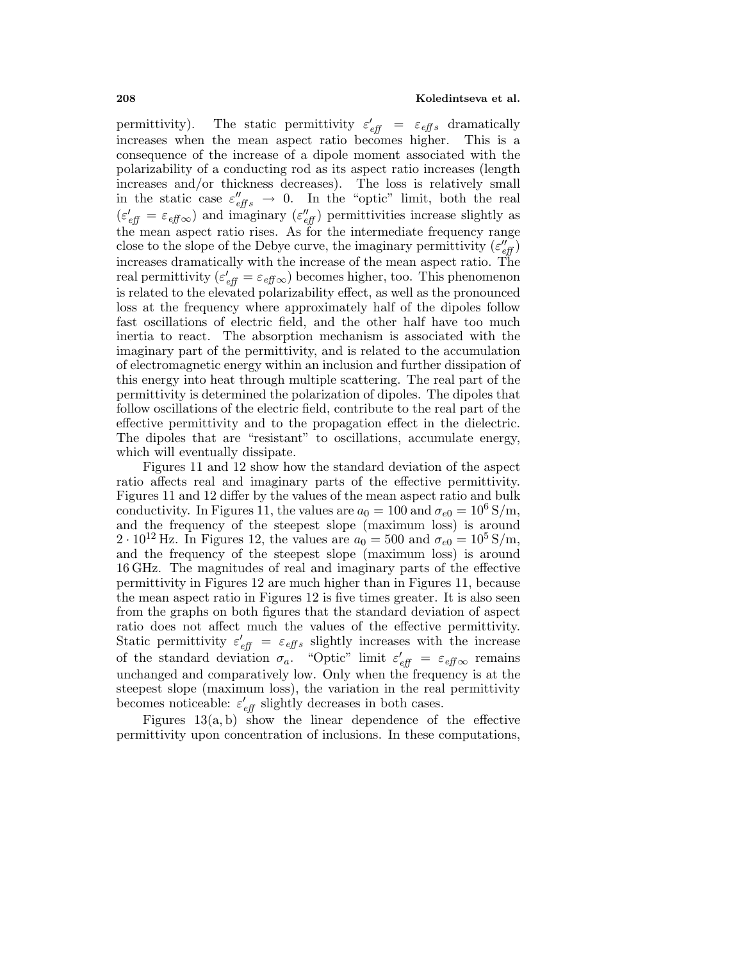permittivity). The static permittivity  $\varepsilon'_{\text{eff}} = \varepsilon_{\text{eff}} s$  dramatically increases when the mean aspect ratio becomes higher. This is a consequence of the increase of a dipole moment associated with the polarizability of a conducting rod as its aspect ratio increases (length increases and/or thickness decreases). The loss is relatively small in the static case  $\varepsilon_{effs}'' \to 0$ . In the "optic" limit, both the real  $(\varepsilon'_{\text{eff}} = \varepsilon_{\text{eff}} \infty)$  and imaginary  $(\varepsilon''_{\text{eff}})$  permittivities increase slightly as the mean aspect ratio rises. As for the intermediate frequency range close to the slope of the Debye curve, the imaginary permittivity  $(\varepsilon_{\it eff}^{\prime\prime})$ increases dramatically with the increase of the mean aspect ratio. The real permittivity ( $\varepsilon'_{\text{eff}} = \varepsilon_{\text{eff}} \infty$ ) becomes higher, too. This phenomenon is related to the elevated polarizability effect, as well as the pronounced loss at the frequency where approximately half of the dipoles follow fast oscillations of electric field, and the other half have too much inertia to react. The absorption mechanism is associated with the imaginary part of the permittivity, and is related to the accumulation of electromagnetic energy within an inclusion and further dissipation of this energy into heat through multiple scattering. The real part of the permittivity is determined the polarization of dipoles. The dipoles that follow oscillations of the electric field, contribute to the real part of the effective permittivity and to the propagation effect in the dielectric. The dipoles that are "resistant" to oscillations, accumulate energy, which will eventually dissipate.

Figures 11 and 12 show how the standard deviation of the aspect ratio affects real and imaginary parts of the effective permittivity. Figures 11 and 12 differ by the values of the mean aspect ratio and bulk conductivity. In Figures 11, the values are  $a_0 = 100$  and  $\sigma_{e0} = 10^6$  S/m, and the frequency of the steepest slope (maximum loss) is around 2 ·  $10^{12}$  Hz. In Figures 12, the values are  $a_0 = 500$  and  $\sigma_{e0} = 10^5$  S/m, and the frequency of the steepest slope (maximum loss) is around 16 GHz. The magnitudes of real and imaginary parts of the effective permittivity in Figures 12 are much higher than in Figures 11, because the mean aspect ratio in Figures 12 is five times greater. It is also seen from the graphs on both figures that the standard deviation of aspect ratio does not affect much the values of the effective permittivity. Static permittivity  $\varepsilon'_{\text{eff}} = \varepsilon_{\text{eff}} s$  slightly increases with the increase of the standard deviation  $\sigma_a$ . "Optic" limit  $\varepsilon'_{eff} = \varepsilon_{eff} \infty$  remains unchanged and comparatively low. Only when the frequency is at the steepest slope (maximum loss), the variation in the real permittivity becomes noticeable:  $\varepsilon'_{\text{eff}}$  slightly decreases in both cases.

Figures  $13(a, b)$  show the linear dependence of the effective permittivity upon concentration of inclusions. In these computations,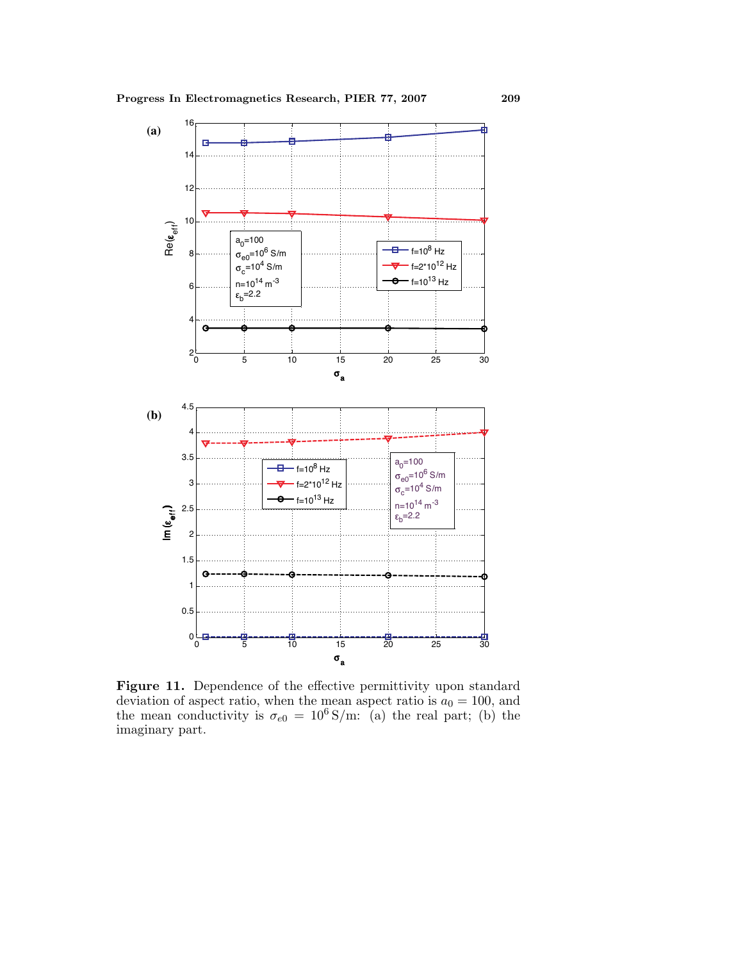

Figure 11. Dependence of the effective permittivity upon standard deviation of aspect ratio, when the mean aspect ratio is  $a_0 = 100$ , and the mean conductivity is  $\sigma_{e0} = 10^6 \,\mathrm{S/m:}$  (a) the real part; (b) the imaginary part.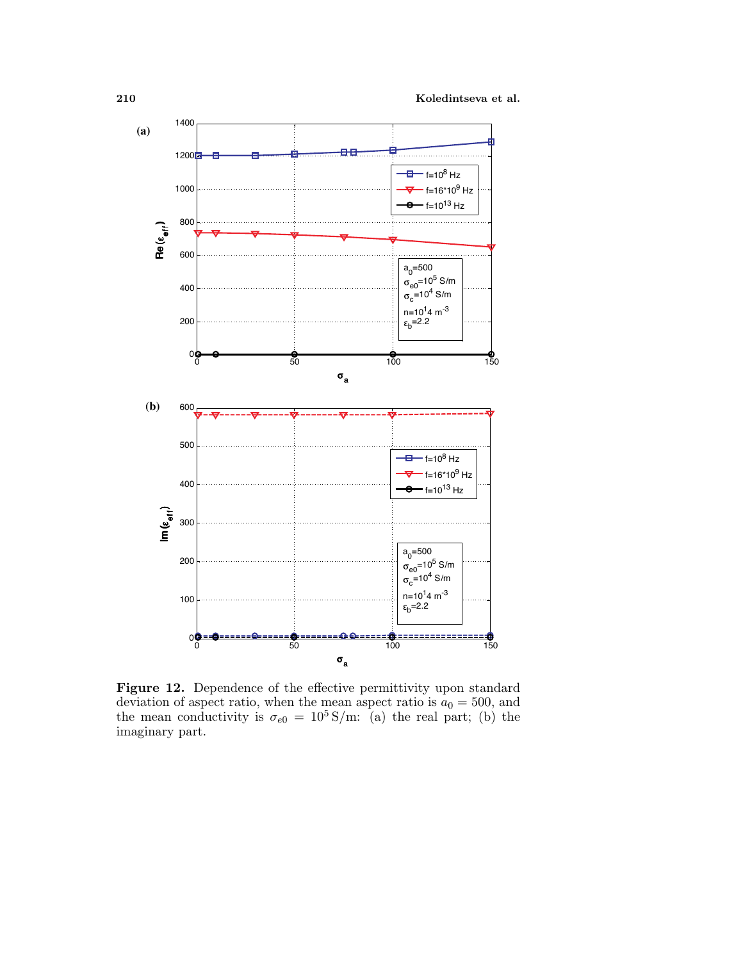

Figure 12. Dependence of the effective permittivity upon standard deviation of aspect ratio, when the mean aspect ratio is  $a_0 = 500$ , and the mean conductivity is  $\sigma_{e0} = 10^5 \,\mathrm{S/m}$ : (a) the real part; (b) the imaginary part.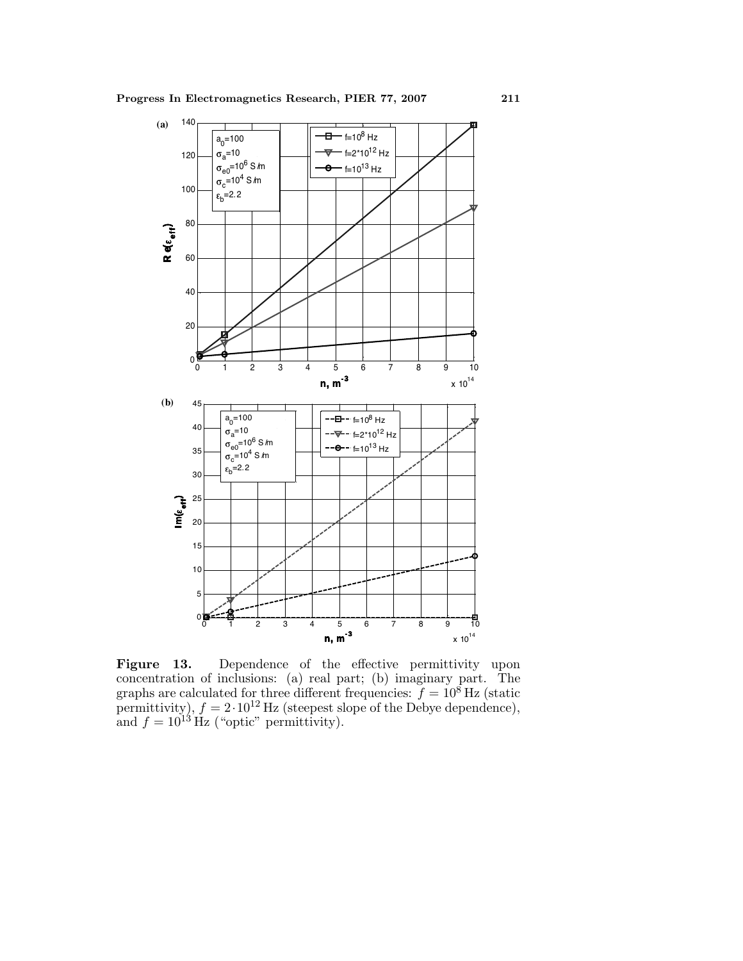

Figure 13. Dependence of the effective permittivity upon concentration of inclusions: (a) real part; (b) imaginary part. The graphs are calculated for three different frequencies:  $f = 10^8$  Hz (static permittivity),  $f = 2.10^{12}$  Hz (steepest slope of the Debye dependence), and  $f = 10^{13}$  Hz ("optic" permittivity).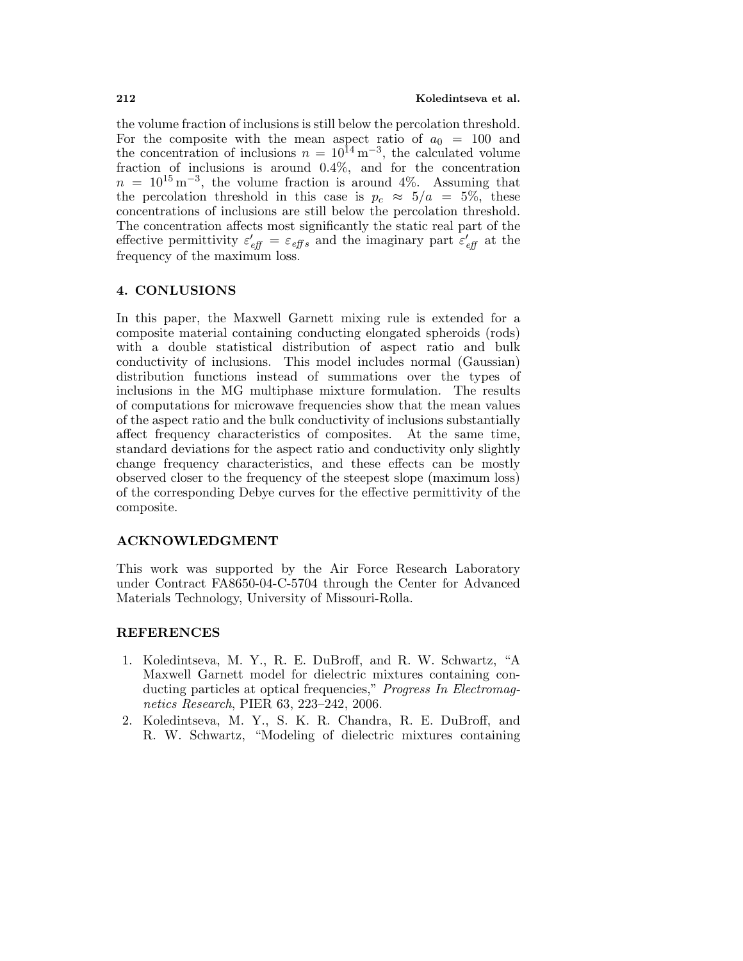the volume fraction of inclusions is still below the percolation threshold. For the composite with the mean aspect ratio of  $a_0 = 100$  and the concentration of inclusions  $n = 10^{14} \,\mathrm{m}^{-3}$ , the calculated volume fraction of inclusions is around 0.4%, and for the concentration  $n = 10^{15} \,\mathrm{m}^{-3}$ , the volume fraction is around 4%. Assuming that the percolation threshold in this case is  $p_c \approx 5/a = 5\%$ , these concentrations of inclusions are still below the percolation threshold. The concentration affects most significantly the static real part of the effective permittivity  $\varepsilon'_{\text{eff}} = \varepsilon_{\text{eff}} s$  and the imaginary part  $\varepsilon'_{\text{eff}}$  at the frequency of the maximum loss.

#### **4. CONLUSIONS**

In this paper, the Maxwell Garnett mixing rule is extended for a composite material containing conducting elongated spheroids (rods) with a double statistical distribution of aspect ratio and bulk conductivity of inclusions. This model includes normal (Gaussian) distribution functions instead of summations over the types of inclusions in the MG multiphase mixture formulation. The results of computations for microwave frequencies show that the mean values of the aspect ratio and the bulk conductivity of inclusions substantially affect frequency characteristics of composites. At the same time, standard deviations for the aspect ratio and conductivity only slightly change frequency characteristics, and these effects can be mostly observed closer to the frequency of the steepest slope (maximum loss) of the corresponding Debye curves for the effective permittivity of the composite.

## **ACKNOWLEDGMENT**

This work was supported by the Air Force Research Laboratory under Contract FA8650-04-C-5704 through the Center for Advanced Materials Technology, University of Missouri-Rolla.

## **REFERENCES**

- 1. Koledintseva, M. Y., R. E. DuBroff, and R. W. Schwartz, "A Maxwell Garnett model for dielectric mixtures containing conducting particles at optical frequencies," Progress In Electromagnetics Research, PIER 63, 223–242, 2006.
- 2. Koledintseva, M. Y., S. K. R. Chandra, R. E. DuBroff, and R. W. Schwartz, "Modeling of dielectric mixtures containing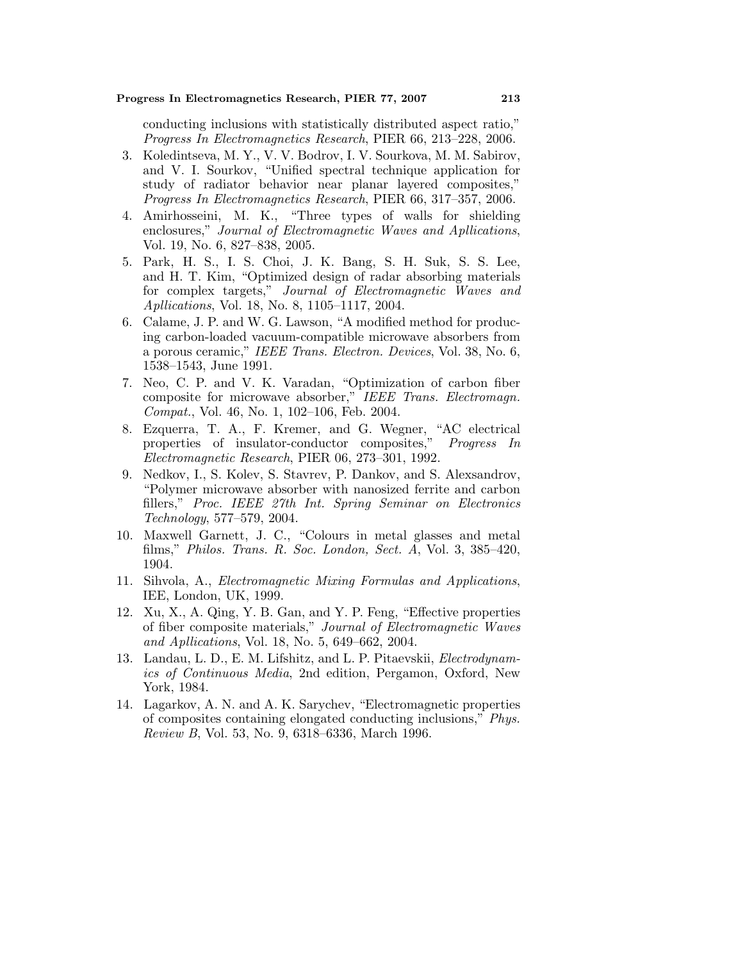conducting inclusions with statistically distributed aspect ratio," Progress In Electromagnetics Research, PIER 66, 213–228, 2006.

- 3. Koledintseva, M. Y., V. V. Bodrov, I. V. Sourkova, M. M. Sabirov, and V. I. Sourkov, "Unified spectral technique application for study of radiator behavior near planar layered composites," Progress In Electromagnetics Research, PIER 66, 317–357, 2006.
- 4. Amirhosseini, M. K., "Three types of walls for shielding enclosures," Journal of Electromagnetic Waves and Apllications, Vol. 19, No. 6, 827–838, 2005.
- 5. Park, H. S., I. S. Choi, J. K. Bang, S. H. Suk, S. S. Lee, and H. T. Kim, "Optimized design of radar absorbing materials for complex targets," Journal of Electromagnetic Waves and Apllications, Vol. 18, No. 8, 1105–1117, 2004.
- 6. Calame, J. P. and W. G. Lawson, "A modified method for producing carbon-loaded vacuum-compatible microwave absorbers from a porous ceramic," IEEE Trans. Electron. Devices, Vol. 38, No. 6, 1538–1543, June 1991.
- 7. Neo, C. P. and V. K. Varadan, "Optimization of carbon fiber composite for microwave absorber," IEEE Trans. Electromagn. Compat., Vol. 46, No. 1, 102–106, Feb. 2004.
- 8. Ezquerra, T. A., F. Kremer, and G. Wegner, "AC electrical properties of insulator-conductor composites," Progress In Electromagnetic Research, PIER 06, 273–301, 1992.
- 9. Nedkov, I., S. Kolev, S. Stavrev, P. Dankov, and S. Alexsandrov, "Polymer microwave absorber with nanosized ferrite and carbon fillers," Proc. IEEE 27th Int. Spring Seminar on Electronics Technology, 577–579, 2004.
- 10. Maxwell Garnett, J. C., "Colours in metal glasses and metal films," Philos. Trans. R. Soc. London, Sect. A, Vol. 3, 385–420, 1904.
- 11. Sihvola, A., Electromagnetic Mixing Formulas and Applications, IEE, London, UK, 1999.
- 12. Xu, X., A. Qing, Y. B. Gan, and Y. P. Feng, "Effective properties of fiber composite materials," Journal of Electromagnetic Waves and Apllications, Vol. 18, No. 5, 649–662, 2004.
- 13. Landau, L. D., E. M. Lifshitz, and L. P. Pitaevskii, Electrodynamics of Continuous Media, 2nd edition, Pergamon, Oxford, New York, 1984.
- 14. Lagarkov, A. N. and A. K. Sarychev, "Electromagnetic properties of composites containing elongated conducting inclusions," Phys. Review B, Vol. 53, No. 9, 6318–6336, March 1996.